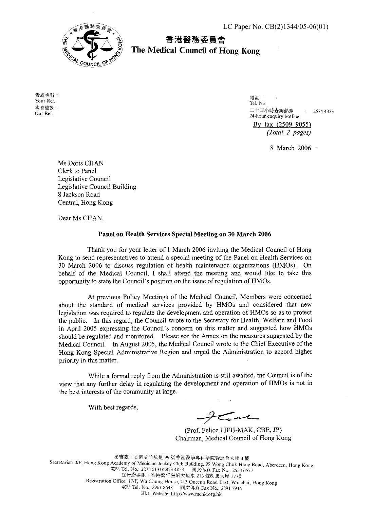

香港醫務委員會 **The Medical Council of Hong Kong** 

貴處檔號: Your Ref. 本會檔號: Our Ref.

電話 Tel. No. 二十四小時査詢熱線 : 2574 4333 24-hour enquiry hotline By fax (2509 9055) (Total 2 pages)

8 March 2006 ·

Ms Doris CHAN Clerk to Panel Legislative Council Legislative Council Building 8 Jackson Road Central, Hong Kong

Dear Ms CHAN,

## **Panel on Health Services Special Meeting on 30 March 2006**

Thank you for your letter of 1 March 2006 inviting the Medical Council of Hong Kong to send representatives to attend a special meeting of the Panel on Health Services on 30 March 2006 to discuss regulation of health maintenance organizations (HMOs). On behalf of the Medical Council, I shall attend the meeting and would like to take this opportunity to state the Council's position on the issue of regulation of HMOs.

At previous Policy Meetings of the Medical Council, Members were concerned about the standard of medical services provided by HMOs and considered that new legislation was required to regulate the development and operation of HMOs so as to protect the public. In this regard, the Council wrote to the Secretary for Health, Welfare and Food in April 2005 expressing the Council's concern on this matter and suggested how HMOs should be regulated and monitored. Please see the Annex on the measures suggested by the Medical Council. In August 2005, the Medical Council wrote to the Chief Executive of the Hong Kong Special Administrative Region and urged the Administration to accord higher priority in this matter.

While a formal reply from the Administration is still awaited, the Council is of the view that any further delay in regulating the development and operation of HMOs is not in the best interests of the community at large.

With best regards,

 $\boldsymbol{\mathcal{L}}$ m

(Prof. Felice LIEH-MAK, CBE, JP) Chairman, Medical Council of Hong Kong

秘書處:香港黃竹坑道 99 號香港醫學專科學院賽馬會大樓 4 樓 Secretariat: 4/F, Hong Kong Academy of Medicine Jockey Club Building, 99 Wong Chuk Hang Road, Aberdeen, Hong Kong<br>電話 Tel. No.: 2873 5131/2873 4853 圖文傳真 Fax No.: 2554 0577 註冊辦事處:香港灣仔皇后大道東 213 號胡忠大廈 17 樓 Registration Office: 17/F, Wu Chung House, 213 Queen's Road East, Wanchai, Hong Kong +'- **msif** Tel. No.: 2961 8648 !GI\*@& Fax No.: 2891 7946 網址 Website: http://www.mchk.org.hk